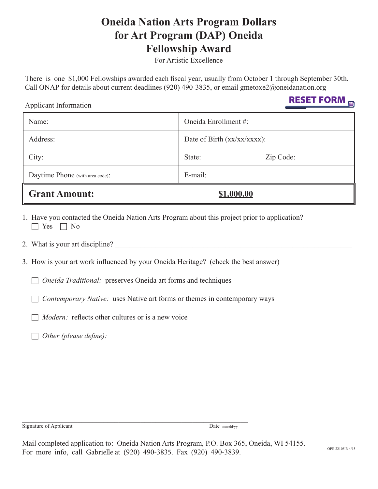# **Oneida Nation Arts Program Dollars for Art Program (DAP) Oneida Fellowship Award**

For Artistic Excellence

There is one \$1,000 Fellowships awarded each fiscal year, usually from October 1 through September 30th. Call ONAP for details about current deadlines (920) 490-3835, or email gmetoxe2@oneidanation.org

| Applicant Information           |            | DESET LAUNE                   |  |
|---------------------------------|------------|-------------------------------|--|
| Name:                           |            | Oneida Enrollment #:          |  |
| Address:                        |            | Date of Birth $(xx/xx/xxx)$ : |  |
| City:                           | State:     | Zip Code:                     |  |
| Daytime Phone (with area code): | $E$ -mail: |                               |  |
| <b>Grant Amount:</b>            | \$1,000.00 |                               |  |

- 1. Have you contacted the Oneida Nation Arts Program about this project prior to application?  $\Box$  Yes  $\Box$  No
- 2. What is your art discipline?
- 3. How is your art work influenced by your Oneida Heritage? (check the best answer)

6 *Oneida Traditional:* preserves Oneida art forms and techniques

6 *Contemporary Native:* uses Native art forms or themes in contemporary ways

 $\Box$  *Modern:* reflects other cultures or is a new voice

6 *Other (please define):*

Signature of Applicant Date mm/dd/yy

RESET FORM

Mail completed application to: Oneida Nation Arts Program, P.O. Box 365, Oneida, WI 54155. For more info, call Gabrielle at (920) 490-3835. Fax (920) 490-3839.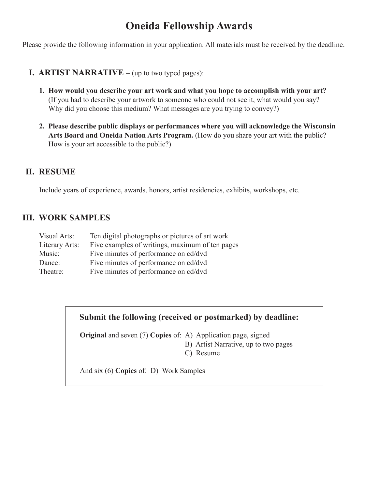## **Oneida Fellowship Awards**

Please provide the following information in your application. All materials must be received by the deadline.

- **I. ARTIST NARRATIVE** (up to two typed pages):
	- **1. How would you describe your art work and what you hope to accomplish with your art?** (If you had to describe your artwork to someone who could not see it, what would you say? Why did you choose this medium? What messages are you trying to convey?)
	- **2. Please describe public displays or performances where you will acknowledge the Wisconsin Arts Board and Oneida Nation Arts Program.** (How do you share your art with the public? How is your art accessible to the public?)

#### **II. Resume**

Include years of experience, awards, honors, artist residencies, exhibits, workshops, etc.

#### **III. Work Samples**

| Visual Arts:   | Ten digital photographs or pictures of art work |
|----------------|-------------------------------------------------|
| Literary Arts: | Five examples of writings, maximum of ten pages |
| Music:         | Five minutes of performance on cd/dvd           |
| Dance:         | Five minutes of performance on cd/dvd           |
| Theatre:       | Five minutes of performance on cd/dvd           |

#### **Submit the following (received or postmarked) by deadline:**

**Original** and seven (7) **Copies** of: A) Application page, signed B) Artist Narrative, up to two pages

C) Resume

And six (6) **Copies** of: D) Work Samples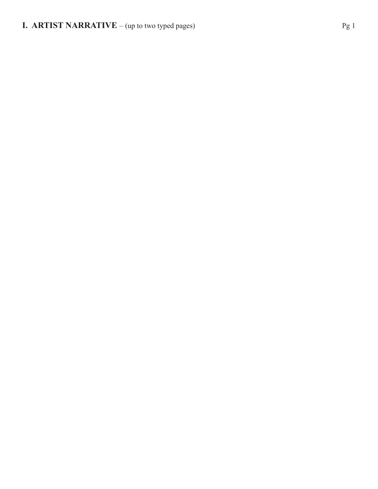### **I. ARTIST NARRATIVE** – (up to two typed pages) Pg 1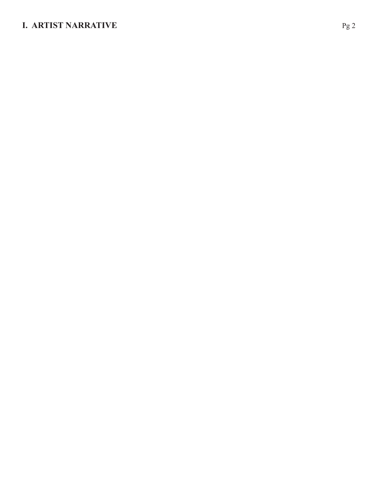### **I. ARTIST NARRATIVE** Pg 2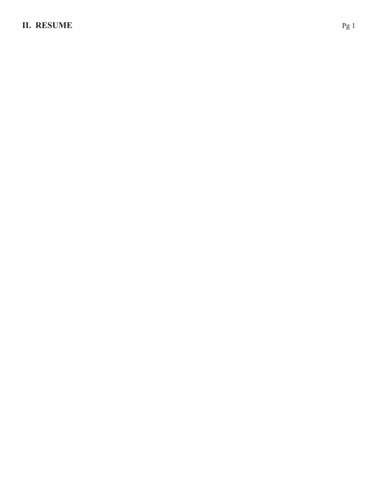### **II. RESUME** Pg 1